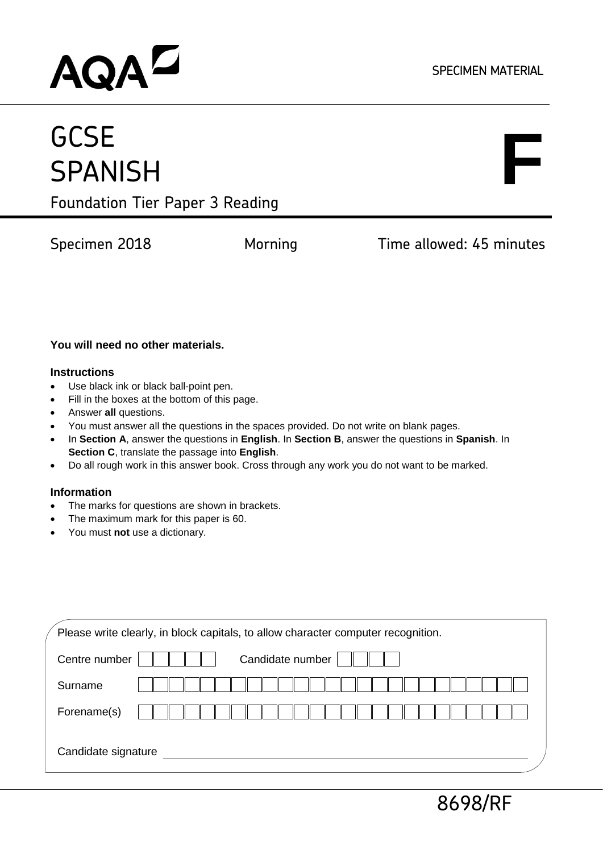## AQAD

## **GCSE SPANISH**

# **F**

Foundation Tier Paper 3 Reading

Specimen 2018 **Morning Time allowed: 45 minutes** 

#### **You will need no other materials.**

#### **Instructions**

- Use black ink or black ball-point pen.
- Fill in the boxes at the bottom of this page.
- Answer **all** questions.
- You must answer all the questions in the spaces provided. Do not write on blank pages.
- In **Section A**, answer the questions in **English**. In **Section B**, answer the questions in **Spanish**. In **Section C**, translate the passage into **English**.
- Do all rough work in this answer book. Cross through any work you do not want to be marked.

#### **Information**

- The marks for questions are shown in brackets.
- The maximum mark for this paper is 60.
- You must **not** use a dictionary.

| Please write clearly, in block capitals, to allow character computer recognition. |  |  |  |  |  |  |  |
|-----------------------------------------------------------------------------------|--|--|--|--|--|--|--|
| Candidate number<br>Centre number                                                 |  |  |  |  |  |  |  |
| Surname                                                                           |  |  |  |  |  |  |  |
| Forename(s)                                                                       |  |  |  |  |  |  |  |
| Candidate signature                                                               |  |  |  |  |  |  |  |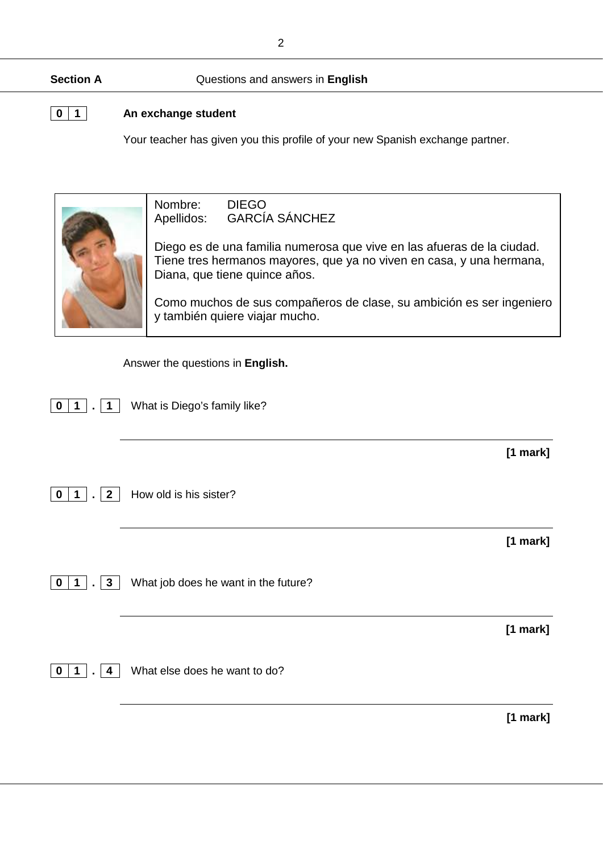#### **Section A** Questions and answers in **English**

#### **0 1 An exchange student**

Your teacher has given you this profile of your new Spanish exchange partner.

Nombre: DIEGO<br>Apellidos: GARCÍ/ **GARCÍA SÁNCHEZ** 

Diego es de una familia numerosa que vive en las afueras de la ciudad. Tiene tres hermanos mayores, que ya no viven en casa, y una hermana, Diana, que tiene quince años.

Como muchos de sus compañeros de clase, su ambición es ser ingeniero y también quiere viajar mucho.

Answer the questions in **English.**

|                                                      |                                      | $[1$ mark] |
|------------------------------------------------------|--------------------------------------|------------|
| $\overline{2}$<br>$\mathbf 0$<br>1<br>$\blacksquare$ | How old is his sister?               |            |
|                                                      |                                      | $[1$ mark] |
| $\mathbf{3}$<br>0<br>1<br>$\blacksquare$             | What job does he want in the future? |            |
|                                                      |                                      | $[1$ mark] |
| 0<br>4                                               | What else does he want to do?        |            |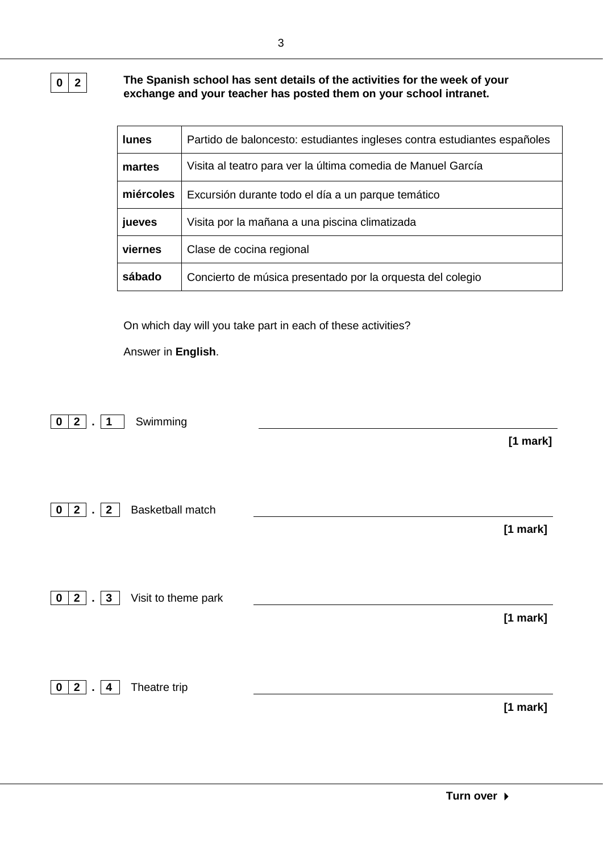**0 2 The Spanish school has sent details of the activities for the week of your exchange and your teacher has posted them on your school intranet.**

| <b>lunes</b> | Partido de baloncesto: estudiantes ingleses contra estudiantes españoles |
|--------------|--------------------------------------------------------------------------|
| martes       | Visita al teatro para ver la última comedia de Manuel García             |
| miércoles    | Excursión durante todo el día a un parque temático                       |
| jueves       | Visita por la mañana a una piscina climatizada                           |
| viernes      | Clase de cocina regional                                                 |
| sábado       | Concierto de música presentado por la orquesta del colegio               |

On which day will you take part in each of these activities?

Answer in **English**.

| Swimming<br>2 <sub>1</sub><br>$\mathbf 0$<br>$\overline{\mathbf{1}}$<br>$\mathbf{r}$ | $[1$ mark] |
|--------------------------------------------------------------------------------------|------------|
| Basketball match<br>$2^{\prime}$<br>$\mathbf{2}$<br>$\mathbf 0$<br>$\sim$            | [1 mark]   |
| 2 <sup>1</sup><br>Visit to theme park<br>$\mathbf{3}$<br>$\mathbf 0$<br>$\sim$       | [1 mark]   |
| $2$ .<br>Theatre trip<br>$\mathbf{0}$<br>$\overline{\mathbf{4}}$                     | [1 mark]   |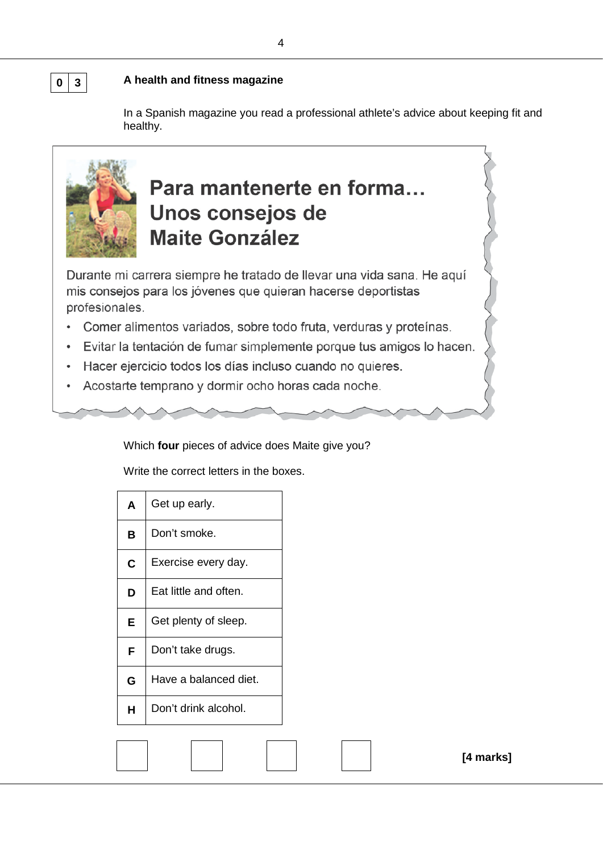#### **0 3 A health and fitness magazine**

In a Spanish magazine you read a professional athlete's advice about keeping fit and healthy.



## Para mantenerte en forma... Unos consejos de **Maite González**

Durante mi carrera siempre he tratado de llevar una vida sana. He aquí mis consejos para los jóvenes que quieran hacerse deportistas profesionales.

- Comer alimentos variados, sobre todo fruta, verduras y proteínas.
- · Evitar la tentación de fumar simplemente porque tus amigos lo hacen.
- Hacer ejercicio todos los días incluso cuando no quieres.  $\bullet$
- Acostarte temprano y dormir ocho horas cada noche.  $\bullet$

Which **four** pieces of advice does Maite give you?

Write the correct letters in the boxes.

| A  | Get up early.         |  |  |
|----|-----------------------|--|--|
| В  | Don't smoke.          |  |  |
| C  | Exercise every day.   |  |  |
| D  | Eat little and often. |  |  |
| E. | Get plenty of sleep.  |  |  |
| F  | Don't take drugs.     |  |  |
| G  | Have a balanced diet. |  |  |
| н  | Don't drink alcohol.  |  |  |
|    |                       |  |  |
|    |                       |  |  |

**[4 marks]**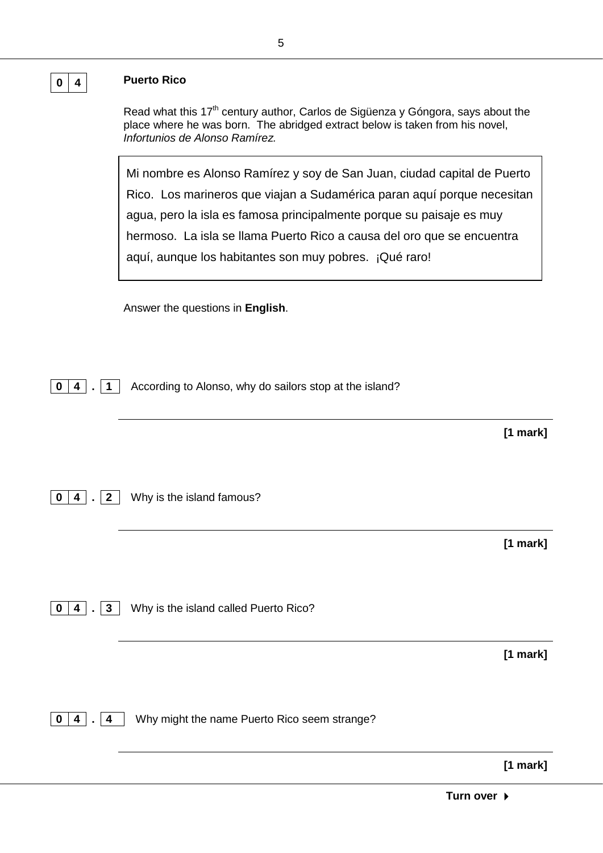Read what this 17<sup>th</sup> century author, Carlos de Sigüenza y Góngora, says about the place where he was born. The abridged extract below is taken from his novel, *Infortunios de Alonso Ramírez.*

Mi nombre es Alonso Ramírez y soy de San Juan, ciudad capital de Puerto Rico. Los marineros que viajan a Sudamérica paran aquí porque necesitan agua, pero la isla es famosa principalmente porque su paisaje es muy hermoso. La isla se llama Puerto Rico a causa del oro que se encuentra aquí, aunque los habitantes son muy pobres. ¡Qué raro!

Answer the questions in **English**.

**0** | **4**  $\vert$  . | **1** | According to Alonso, why do sailors stop at the island?

**0 4 . 2** Why is the island famous?

**[1 mark]**

**[1 mark]**

**0 4 . 3** Why is the island called Puerto Rico?

**[1 mark]**

**0 4 . 4** Why might the name Puerto Rico seem strange?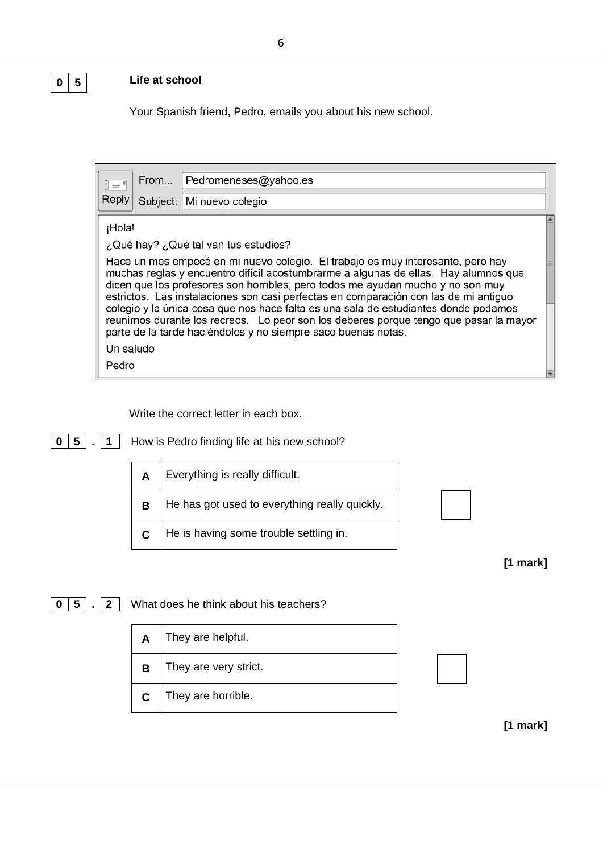## **0 5 Life at school**

Your Spanish friend, Pedro, emails you about his new school.

| $\bar{z} =$ | From | Pedromeneses@yahoo.es                                                                                                                                                                                                                                                                                                                             |  |
|-------------|------|---------------------------------------------------------------------------------------------------------------------------------------------------------------------------------------------------------------------------------------------------------------------------------------------------------------------------------------------------|--|
| Reply       |      | Subject:   Mi nuevo colegio                                                                                                                                                                                                                                                                                                                       |  |
| ¡Hola!      |      |                                                                                                                                                                                                                                                                                                                                                   |  |
|             |      | ¿Qué hay? ¿Qué tal van tus estudios?                                                                                                                                                                                                                                                                                                              |  |
|             |      | Hace un mes empecé en mi nuevo colegio. El trabajo es muy interesante, pero hay<br>muchas reglas y encuentro difícil acostumbrarme a algunas de ellas. Hay alumnos que<br>dicen que los profesores son horribles, pero todos me ayudan mucho y no son muy<br>estrictos. Las instalaciones son casi perfectas en comparación con las de mi antiguo |  |
|             |      | colegio y la única cosa que nos hace falta es una sala de estudiantes donde podamos<br>reunirnos durante los recreos. Lo peor son los deberes porque tengo que pasar la mayor<br>parte de la tarde haciéndolos y no siempre saco buenas notas.                                                                                                    |  |
| Un saludo   |      |                                                                                                                                                                                                                                                                                                                                                   |  |
| Pedro       |      |                                                                                                                                                                                                                                                                                                                                                   |  |

Write the correct letter in each box.

| How is Pedro finding life at his new school?<br>5 |  |                                               |  |  |
|---------------------------------------------------|--|-----------------------------------------------|--|--|
|                                                   |  | Everything is really difficult.               |  |  |
|                                                   |  | He has got used to everything really quickly. |  |  |
|                                                   |  | He is having some trouble settling in.        |  |  |

|  | mark] |  |
|--|-------|--|
|--|-------|--|

**0 5 . 2** What does he think about his teachers?

| A | They are helpful.     |  |
|---|-----------------------|--|
| R | They are very strict. |  |
| C | They are horrible.    |  |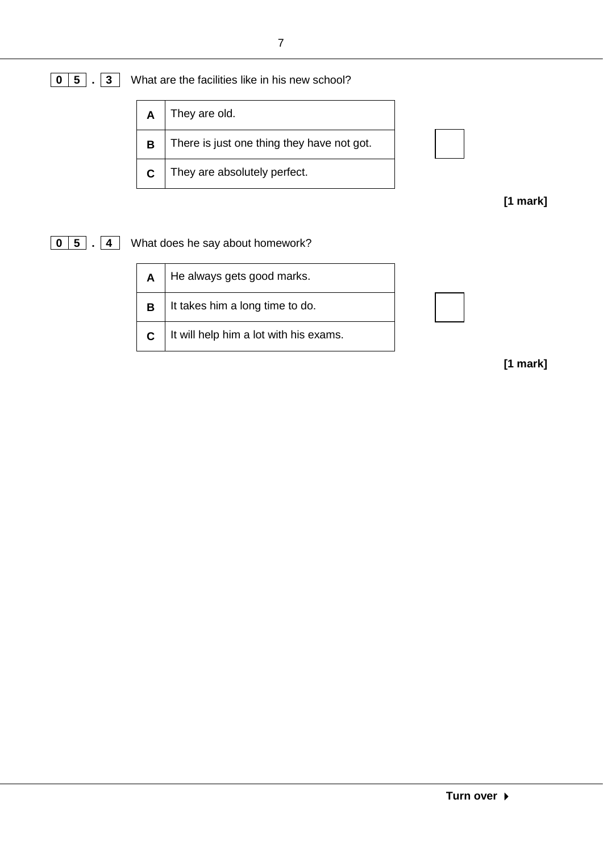## **0 5 . 3** What are the facilities like in his new school?

| A | They are old.                              |
|---|--------------------------------------------|
| B | There is just one thing they have not got. |
| C | They are absolutely perfect.               |

**[1 mark]**

**0 5 . 4** What does he say about homework?

| A | He always gets good marks.             |  |
|---|----------------------------------------|--|
| B | It takes him a long time to do.        |  |
|   | It will help him a lot with his exams. |  |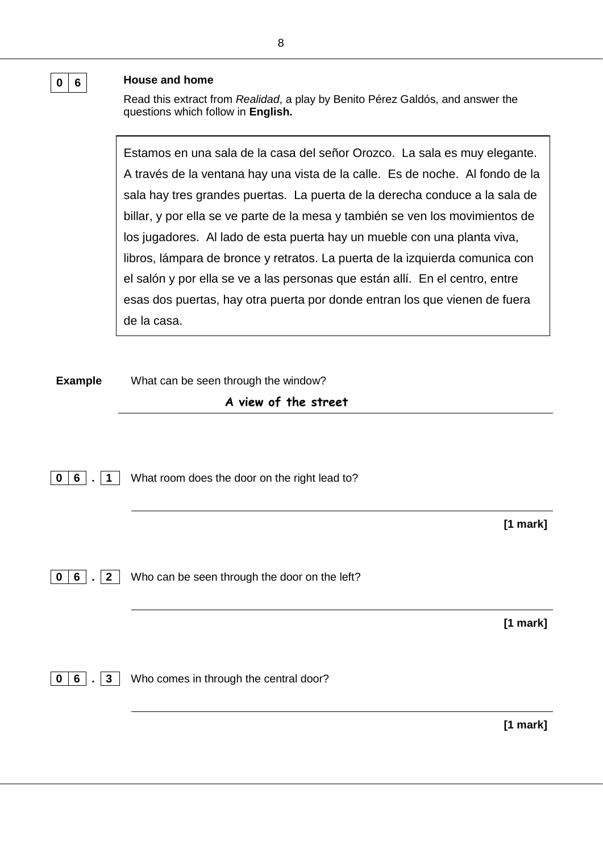#### **0 6 House and home**

Read this extract from *Realidad*, a play by Benito Pérez Galdós, and answer the questions which follow in **English.**

Estamos en una sala de la casa del señor Orozco. La sala es muy elegante. A través de la ventana hay una vista de la calle. Es de noche. Al fondo de la sala hay tres grandes puertas. La puerta de la derecha conduce a la sala de billar, y por ella se ve parte de la mesa y también se ven los movimientos de los jugadores. Al lado de esta puerta hay un mueble con una planta viva, libros, lámpara de bronce y retratos. La puerta de la izquierda comunica con el salón y por ella se ve a las personas que están allí. En el centro, entre esas dos puertas, hay otra puerta por donde entran los que vienen de fuera de la casa.

**Example** What can be seen through the window?

#### **A view of the street**

**0 6 . 1** What room does the door on the right lead to?

**[1 mark]**

**0 6 . 2** Who can be seen through the door on the left?

**[1 mark]**

**0 6 . 3** Who comes in through the central door?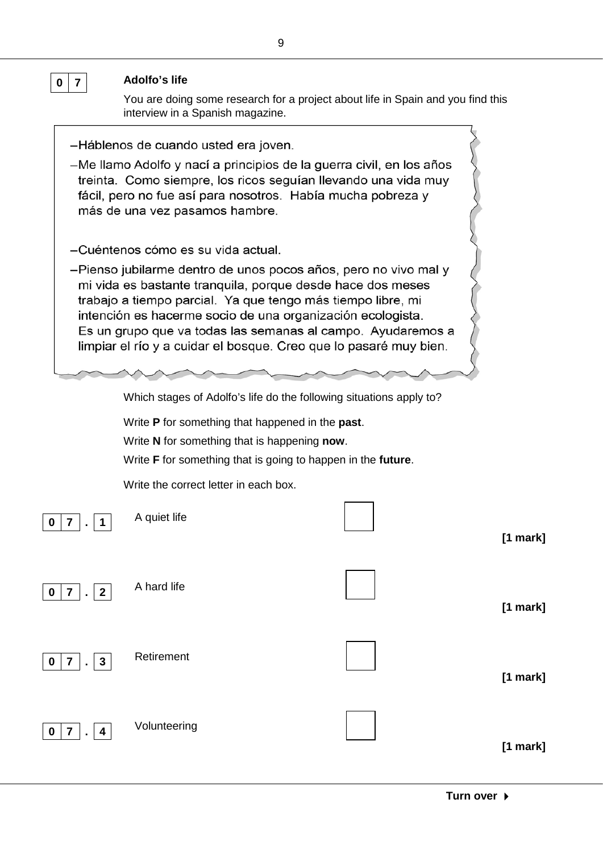

| 0   7   .   1                                                                  | A quiet life | [1 mark] |
|--------------------------------------------------------------------------------|--------------|----------|
| 7 <sup>1</sup><br>$ \cdot 2 $<br>$\mathbf 0$                                   | A hard life  | [1 mark] |
| $\mathbf{3}$<br>$\overline{\mathbf{7}}$<br>$\mathbf 0$<br>$\sim$               | Retirement   | [1 mark] |
| $\overline{7}$<br>$\mathbf 0$<br>$\overline{4}$<br>$\mathcal{L}^{\mathcal{A}}$ | Volunteering | [1 mark] |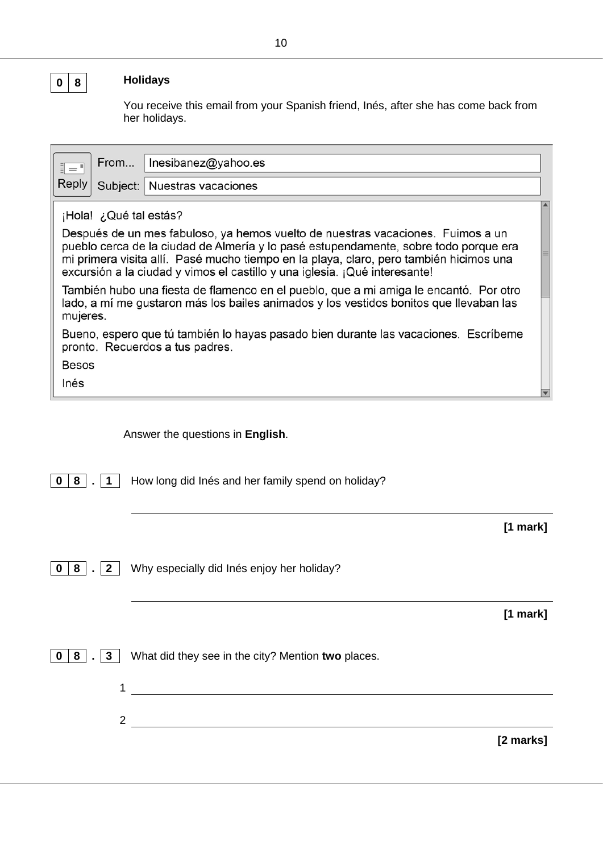#### **0 8 Holidays**

You receive this email from your Spanish friend, Inés, after she has come back from her holidays.

|               | From                   | Inesibanez@yahoo.es                                                                                                                                                                                                                                                                                                                             |  |
|---------------|------------------------|-------------------------------------------------------------------------------------------------------------------------------------------------------------------------------------------------------------------------------------------------------------------------------------------------------------------------------------------------|--|
| $\bar{z} = 1$ |                        |                                                                                                                                                                                                                                                                                                                                                 |  |
| Reply         |                        | Subject:   Nuestras vacaciones                                                                                                                                                                                                                                                                                                                  |  |
|               | ¡Hola! ¿Qué tal estás? |                                                                                                                                                                                                                                                                                                                                                 |  |
|               |                        | Después de un mes fabuloso, ya hemos vuelto de nuestras vacaciones. Fuimos a un<br>pueblo cerca de la ciudad de Almería y lo pasé estupendamente, sobre todo porque era<br>mi primera visita allí. Pasé mucho tiempo en la playa, claro, pero también hicimos una<br>excursión a la ciudad y vimos el castillo y una iglesia. ¡Qué interesante! |  |
| mujeres.      |                        | También hubo una fiesta de flamenco en el pueblo, que a mi amiga le encantó. Por otro<br>lado, a mí me gustaron más los bailes animados y los vestidos bonitos que llevaban las                                                                                                                                                                 |  |
|               |                        | Bueno, espero que tú también lo hayas pasado bien durante las vacaciones. Escríbeme<br>pronto. Recuerdos a tus padres.                                                                                                                                                                                                                          |  |
| <b>Besos</b>  |                        |                                                                                                                                                                                                                                                                                                                                                 |  |
| Inés          |                        |                                                                                                                                                                                                                                                                                                                                                 |  |
|               |                        |                                                                                                                                                                                                                                                                                                                                                 |  |

Answer the questions in **English**.

**0 8 . 1** How long did Inés and her family spend on holiday?

**[1 mark]**

**0 8 . 2** Why especially did Inés enjoy her holiday?

**[1 mark]**

**0 8 . 3** What did they see in the city? Mention **two** places.

1 2

**[2 marks]**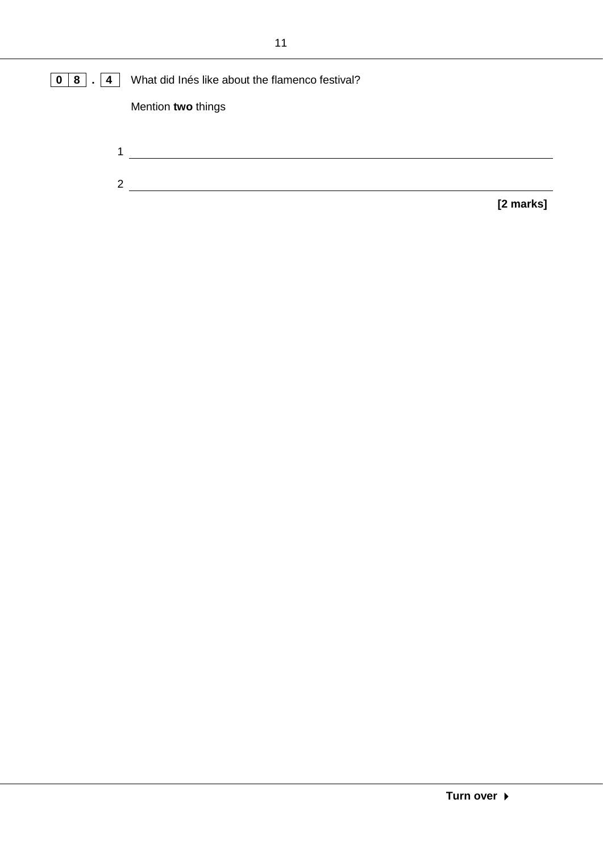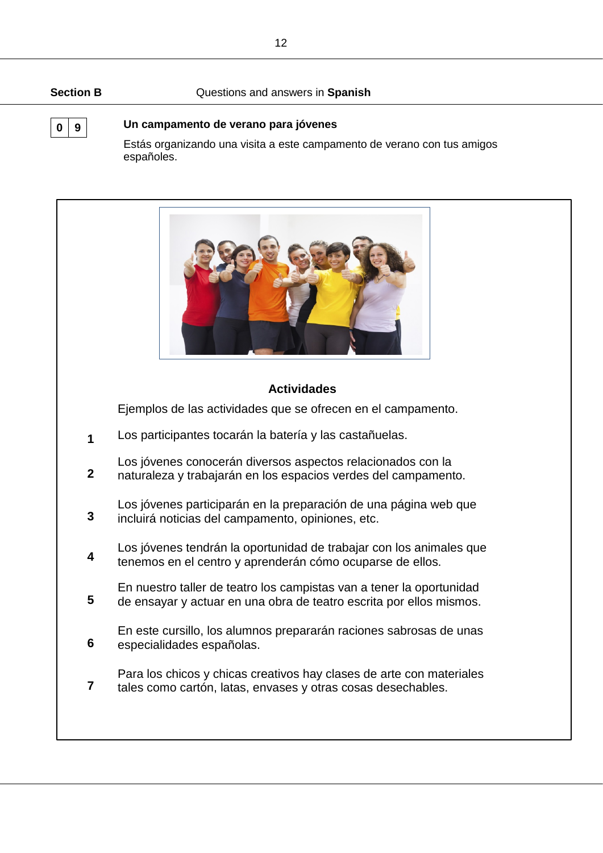#### **Section B** Questions and answers in **Spanish**

### **0 9 Un campamento de verano para jóvenes**

Estás organizando una visita a este campamento de verano con tus amigos españoles.

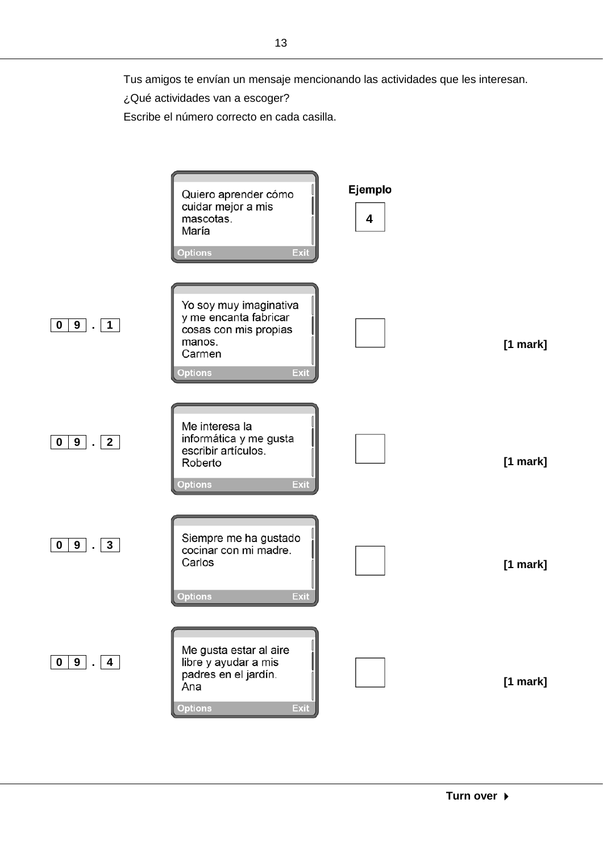¿Qué actividades van a escoger?

Escribe el número correcto en cada casilla.

Ejemplo Quiero aprender cómo cuidar mejor a mis mascotas. **4**María Exit **Options** Yo soy muy imaginativa y me encanta fabricar **0 9 . 1** cosas con mis propias manos. **[1 mark]** Carmen **Options** Exit Me interesa la informática y me gusta **0 9 . 2** escribir artículos. Roberto **[1 mark]** Options Exit Siempre me ha gustado **0 9 . 3** cocinar con mi madre. Carlos **[1 mark] Options** Exit Me gusta estar al aire **0 9 . 4** libre y ayudar a mis padres en el jardín. **[1 mark]** Ana Exit **Options**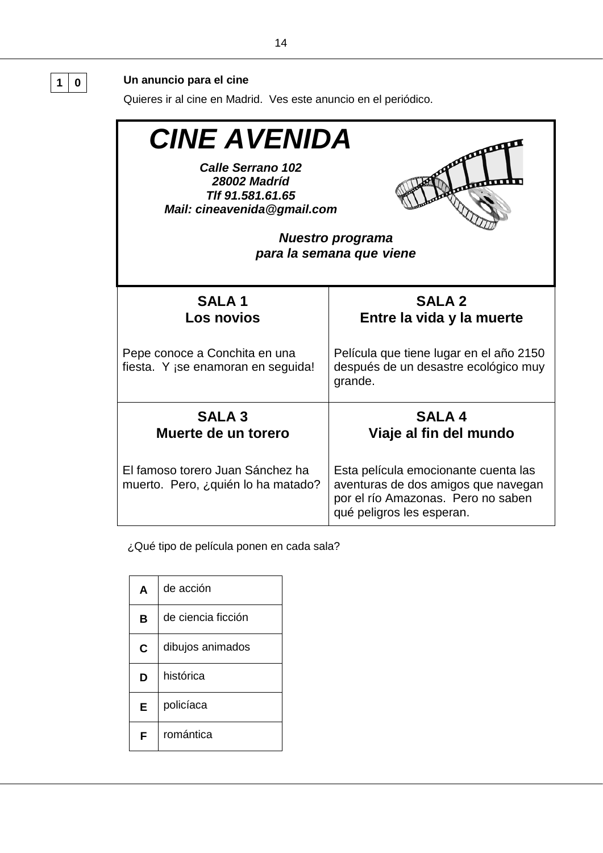#### Quieres ir al cine en Madrid. Ves este anuncio en el periódico. *CINE AVENIDA* Л *Calle Serrano 102 28002 Madríd Tlf 91.581.61.65 Mail: cineavenida@gmail.com Nuestro programa para la semana que viene* **SALA 1 SALA 2 Los novios Entre la vida y la muerte** Pepe conoce a Conchita en una Película que tiene lugar en el año 2150 fiesta. Y ¡se enamoran en seguida! después de un desastre ecológico muy grande. **SALA 3 SALA 4 Viaje al fin del mundo Muerte de un torero** El famoso torero Juan Sánchez ha Esta película emocionante cuenta las muerto. Pero, ¿quién lo ha matado? aventuras de dos amigos que navegan por el río Amazonas. Pero no saben qué peligros les esperan.

¿Qué tipo de película ponen en cada sala?

| A | de acción          |
|---|--------------------|
| в | de ciencia ficción |
| C | dibujos animados   |
| D | histórica          |
| Е | policíaca          |
| F | romántica          |

**1 0 Un anuncio para el cine**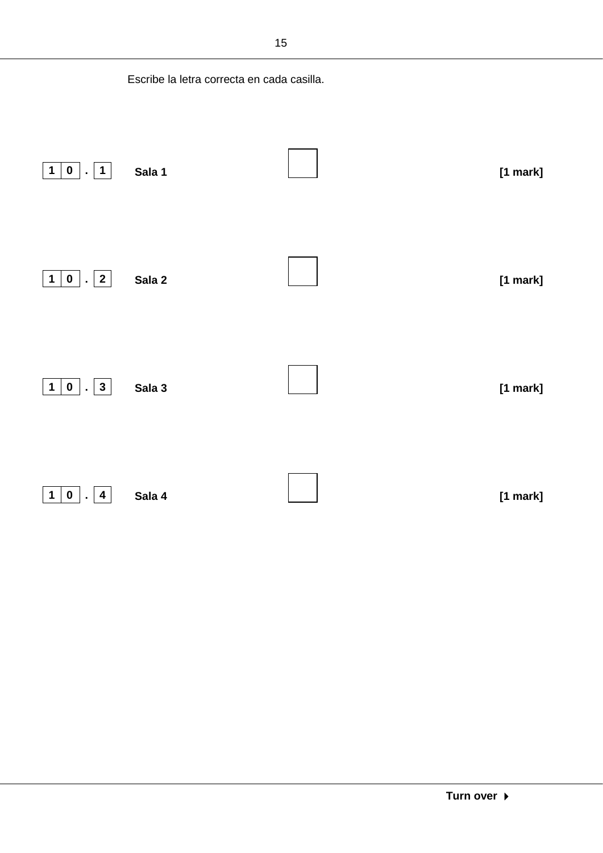|                                                              | Escribe la letra correcta en cada casilla. |            |
|--------------------------------------------------------------|--------------------------------------------|------------|
| $\mathbf{0}$<br>$\mathbf{1}$<br>$\mathbf 1$<br>L.            | Sala 1                                     | $[1$ mark] |
| $\overline{\mathbf{2}}$<br>$\mathbf 1$<br>$0$   .            | Sala 2                                     | [1 mark]   |
| $\mathbf{3}$<br>$\mathbf 1$<br>$\mathbf 0$<br>$\blacksquare$ | Sala 3                                     | [1 mark]   |
| $\mathbf{1}$<br>$\mathbf 0$<br>4<br>$\blacksquare$           | Sala 4                                     | [1 mark]   |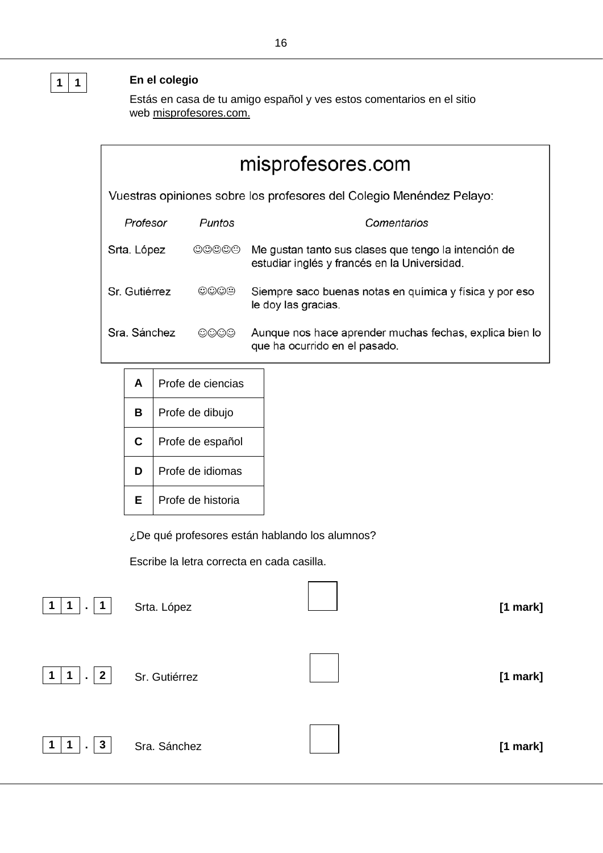## **1 1 En el colegio**

Estás en casa de tu amigo español y ves estos comentarios en el sitio web misprofesores.com.

| misprofesores.com |                                                                      |                                                                                                      |  |  |
|-------------------|----------------------------------------------------------------------|------------------------------------------------------------------------------------------------------|--|--|
|                   | Vuestras opiniones sobre los profesores del Colegio Menéndez Pelayo: |                                                                                                      |  |  |
| Profesor          | Puntos                                                               | Comentarios                                                                                          |  |  |
| Srta. López       | $\circledcirc\circledcirc\circ$                                      | Me gustan tanto sus clases que tengo la intención de<br>estudiar inglés y francés en la Universidad. |  |  |
| Sr. Gutiérrez     | 0000                                                                 | Siempre saco buenas notas en química y física y por eso<br>le doy las gracias.                       |  |  |
| Sra. Sánchez      | මමමම                                                                 | Aunque nos hace aprender muchas fechas, explica bien lo<br>que ha ocurrido en el pasado.             |  |  |
|                   |                                                                      |                                                                                                      |  |  |

| A | Profe de ciencias |  |
|---|-------------------|--|
| в | Profe de dibujo   |  |
| C | Profe de español  |  |
| D | Profe de idiomas  |  |
| F | Profe de historia |  |

¿De qué profesores están hablando los alumnos?

Escribe la letra correcta en cada casilla.





|  | Sr. Gutiérrez |
|--|---------------|
|--|---------------|

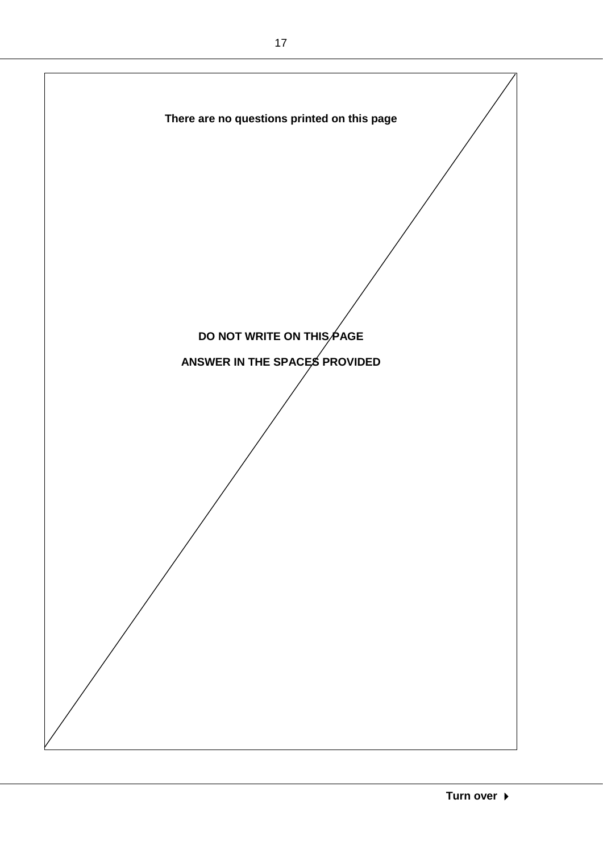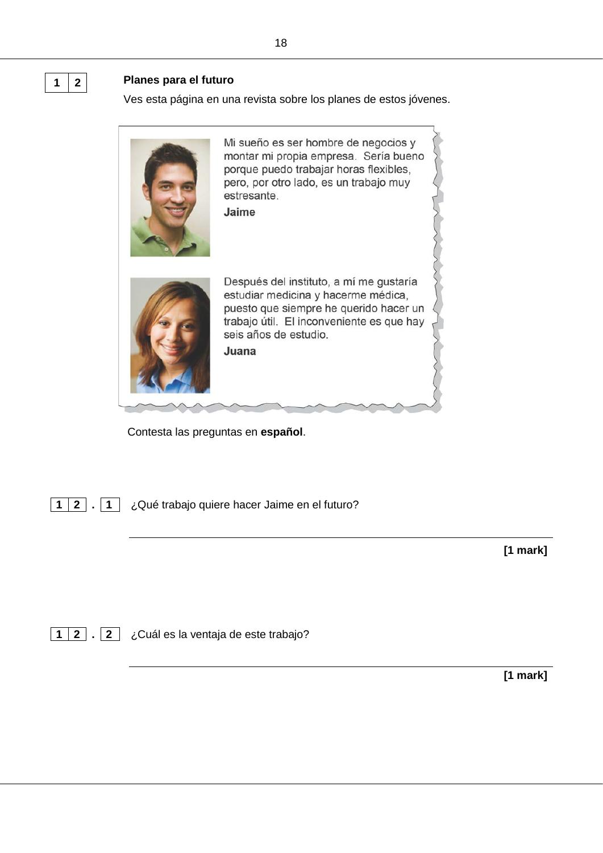#### **1 2 Planes para el futuro**

Ves esta página en una revista sobre los planes de estos jóvenes.



Contesta las preguntas en **español**.

**1 2 . 1** ¿Qué trabajo quiere hacer Jaime en el futuro?

**[1 mark]**

**1 2 . 2** ¿Cuál es la ventaja de este trabajo?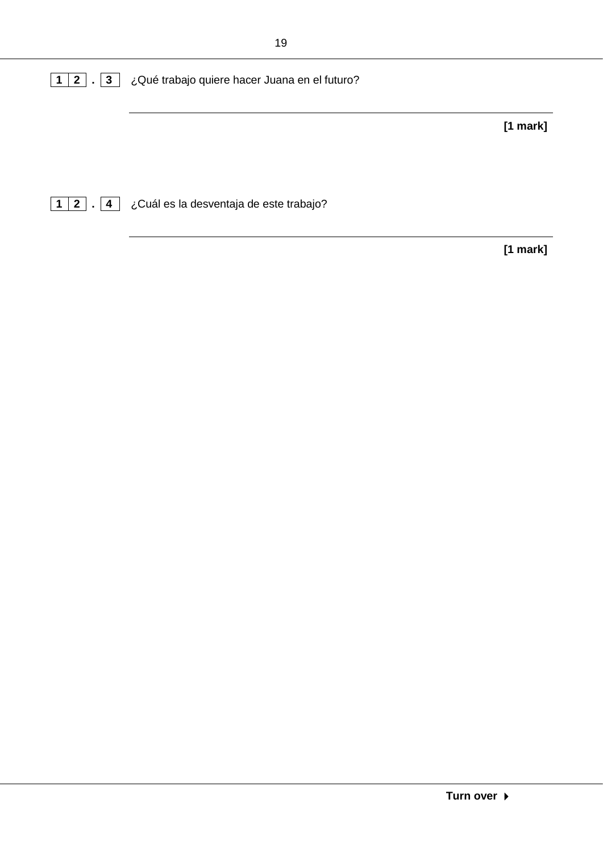| 1   2   .   3   ¿Qué trabajo quiere hacer Juana en el futuro? |            |
|---------------------------------------------------------------|------------|
|                                                               | $[1$ mark] |
|                                                               |            |

**1 2 . 4** ¿Cuál es la desventaja de este trabajo?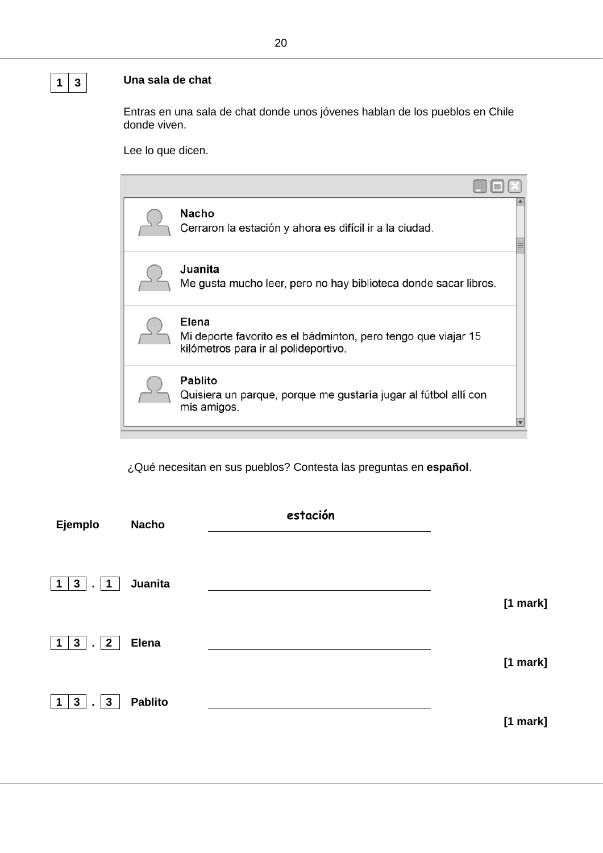## **1 3 Una sala de chat**

Entras en una sala de chat donde unos jóvenes hablan de los pueblos en Chile donde viven.

Lee lo que dicen.

| <b>Nacho</b><br>Cerraron la estación y ahora es difícil ir a la ciudad.<br>Juanita<br>Me gusta mucho leer, pero no hay biblioteca donde sacar libros.<br>Elena<br>Mi deporte favorito es el bádminton, pero tengo que viajar 15<br>kilómetros para ir al polideportivo.<br><b>Pablito</b><br>Quisiera un parque, porque me gustaría jugar al fútbol allí con<br>mis amigos. |  |  |
|-----------------------------------------------------------------------------------------------------------------------------------------------------------------------------------------------------------------------------------------------------------------------------------------------------------------------------------------------------------------------------|--|--|
|                                                                                                                                                                                                                                                                                                                                                                             |  |  |
|                                                                                                                                                                                                                                                                                                                                                                             |  |  |
|                                                                                                                                                                                                                                                                                                                                                                             |  |  |
|                                                                                                                                                                                                                                                                                                                                                                             |  |  |

¿Qué necesitan en sus pueblos? Contesta las preguntas en **español**.

| Ejemplo                                                           | <b>Nacho</b>   | estación |            |
|-------------------------------------------------------------------|----------------|----------|------------|
| 3 <sup>1</sup><br>$\mathbf 1$<br>$\mathbf{1}$<br>$\blacksquare$   | Juanita        |          | $[1$ mark] |
| 3 <sup>1</sup><br>$\overline{2}$<br>$\mathbf 1$<br>$\overline{a}$ | <b>Elena</b>   |          | $[1$ mark] |
| $3\overline{3}$<br>$\mathbf{3}$<br>1<br>$\mathbf{r}$              | <b>Pablito</b> |          | [1 mark]   |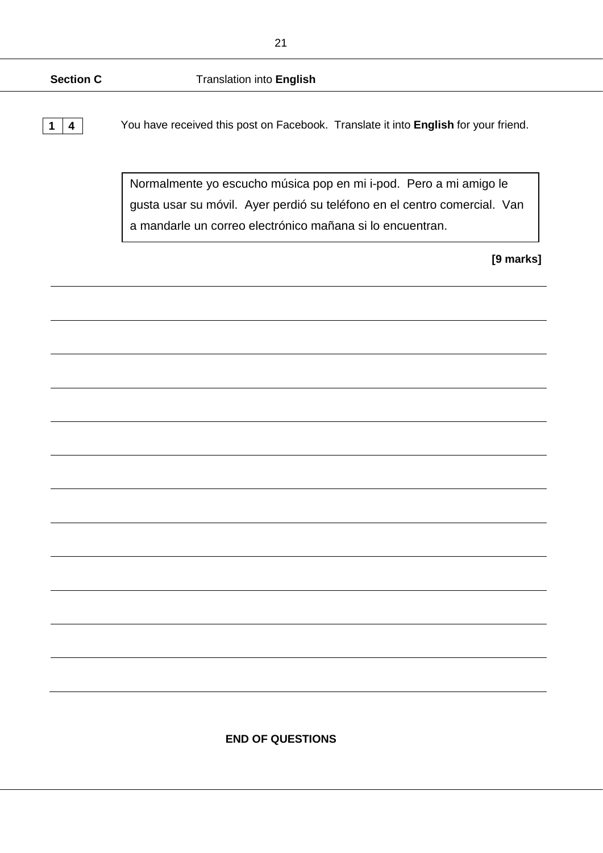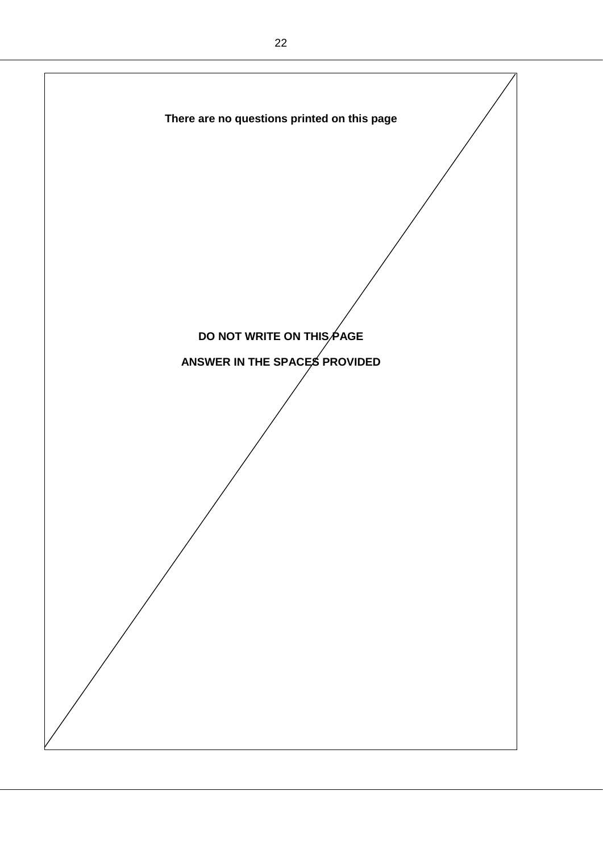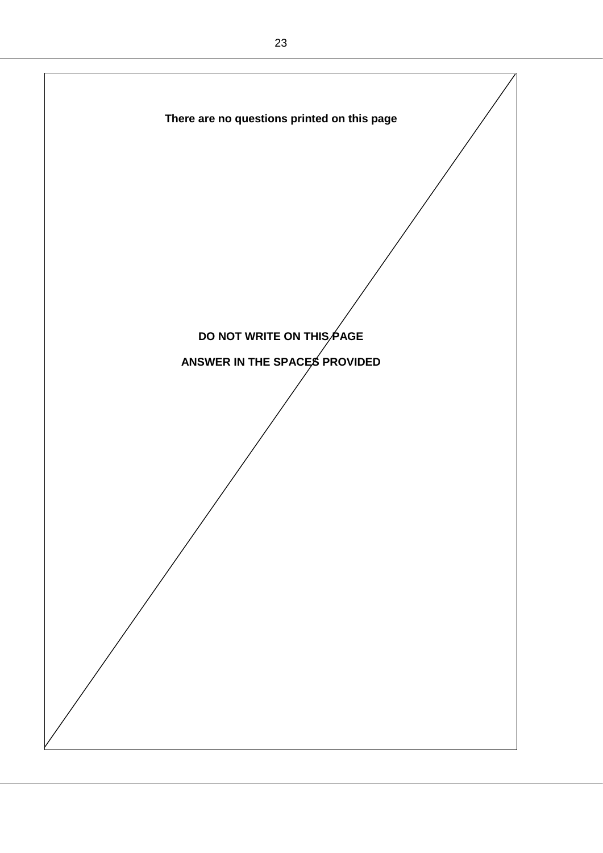